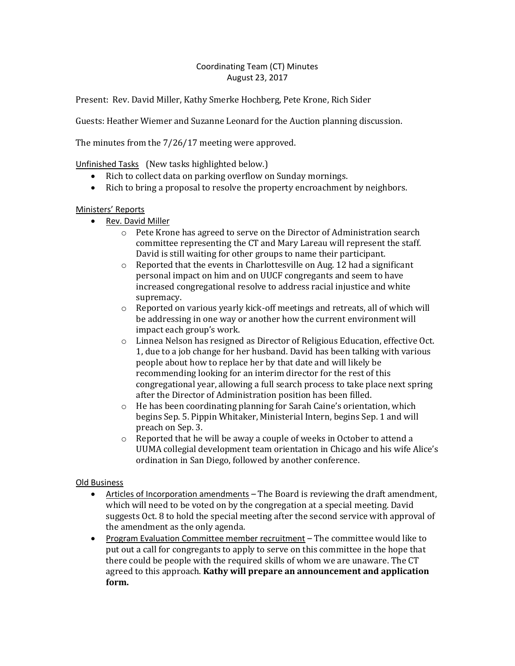## Coordinating Team (CT) Minutes August 23, 2017

Present: Rev. David Miller, Kathy Smerke Hochberg, Pete Krone, Rich Sider

Guests: Heather Wiemer and Suzanne Leonard for the Auction planning discussion.

The minutes from the 7/26/17 meeting were approved.

Unfinished Tasks (New tasks highlighted below.)

- Rich to collect data on parking overflow on Sunday mornings.
- Rich to bring a proposal to resolve the property encroachment by neighbors.

## Ministers' Reports

- Rev. David Miller
	- o Pete Krone has agreed to serve on the Director of Administration search committee representing the CT and Mary Lareau will represent the staff. David is still waiting for other groups to name their participant.
	- o Reported that the events in Charlottesville on Aug. 12 had a significant personal impact on him and on UUCF congregants and seem to have increased congregational resolve to address racial injustice and white supremacy.
	- $\circ$  Reported on various yearly kick-off meetings and retreats, all of which will be addressing in one way or another how the current environment will impact each group's work.
	- o Linnea Nelson has resigned as Director of Religious Education, effective Oct. 1, due to a job change for her husband. David has been talking with various people about how to replace her by that date and will likely be recommending looking for an interim director for the rest of this congregational year, allowing a full search process to take place next spring after the Director of Administration position has been filled.
	- $\circ$  He has been coordinating planning for Sarah Caine's orientation, which begins Sep. 5. Pippin Whitaker, Ministerial Intern, begins Sep. 1 and will preach on Sep. 3.
	- o Reported that he will be away a couple of weeks in October to attend a UUMA collegial development team orientation in Chicago and his wife Alice's ordination in San Diego, followed by another conference.

## Old Business

- Articles of Incorporation amendments The Board is reviewing the draft amendment, which will need to be voted on by the congregation at a special meeting. David suggests Oct. 8 to hold the special meeting after the second service with approval of the amendment as the only agenda.
- Program Evaluation Committee member recruitment The committee would like to put out a call for congregants to apply to serve on this committee in the hope that there could be people with the required skills of whom we are unaware. The CT agreed to this approach. **Kathy will prepare an announcement and application form.**